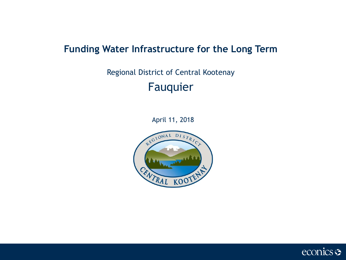## **Funding Water Infrastructure for the Long Term**

# Regional District of Central Kootenay Fauquier

April 11, 2018



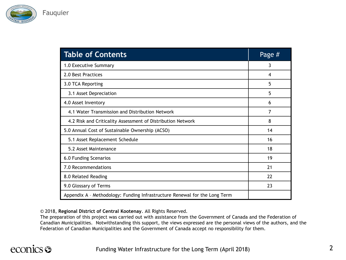

| <b>Table of Contents</b>                                                   | Page # |
|----------------------------------------------------------------------------|--------|
| 1.0 Executive Summary                                                      | 3      |
| 2.0 Best Practices                                                         | 4      |
| 3.0 TCA Reporting                                                          | 5      |
| 3.1 Asset Depreciation                                                     | 5      |
| 4.0 Asset Inventory                                                        | 6      |
| 4.1 Water Transmission and Distribution Network                            | 7      |
| 4.2 Risk and Criticality Assessment of Distribution Network                | 8      |
| 5.0 Annual Cost of Sustainable Ownership (ACSO)                            | 14     |
| 5.1 Asset Replacement Schedule                                             | 16     |
| 5.2 Asset Maintenance                                                      | 18     |
| 6.0 Funding Scenarios                                                      | 19     |
| 7.0 Recommendations                                                        | 21     |
| 8.0 Related Reading                                                        | 22     |
| 9.0 Glossary of Terms                                                      | 23     |
| Appendix A - Methodology: Funding Infrastructure Renewal for the Long Term |        |

© 2018, **Regional District of Central Kootenay**. All Rights Reserved.

The preparation of this project was carried out with assistance from the Government of Canada and the Federation of Canadian Municipalities. Notwithstanding this support, the views expressed are the personal views of the authors, and the Federation of Canadian Municipalities and the Government of Canada accept no responsibility for them.

# econics <del>S</del>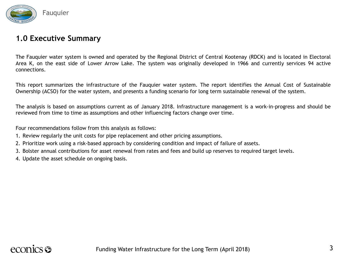

### **1.0 Executive Summary**

The Fauquier water system is owned and operated by the Regional District of Central Kootenay (RDCK) and is located in Electoral Area K, on the east side of Lower Arrow Lake. The system was originally developed in 1966 and currently services 94 active connections.

This report summarizes the infrastructure of the Fauquier water system. The report identifies the Annual Cost of Sustainable Ownership (ACSO) for the water system, and presents a funding scenario for long term sustainable renewal of the system.

The analysis is based on assumptions current as of January 2018. Infrastructure management is a work-in-progress and should be reviewed from time to time as assumptions and other influencing factors change over time.

Four recommendations follow from this analysis as follows:

- 1. Review regularly the unit costs for pipe replacement and other pricing assumptions.
- 2. Prioritize work using a risk-based approach by considering condition and impact of failure of assets.
- 3. Bolster annual contributions for asset renewal from rates and fees and build up reserves to required target levels.
- 4. Update the asset schedule on ongoing basis.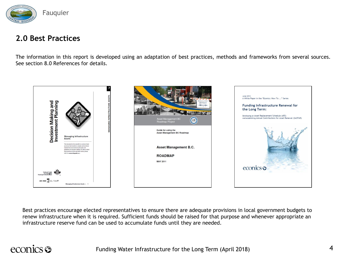

### **2.0 Best Practices**

The information in this report is developed using an adaptation of best practices, methods and frameworks from several sources. See section 8.0 References for details.



Best practices encourage elected representatives to ensure there are adequate provisions in local government budgets to renew infrastructure when it is required. Sufficient funds should be raised for that purpose and whenever appropriate an infrastructure reserve fund can be used to accumulate funds until they are needed.

# econics <del>S</del>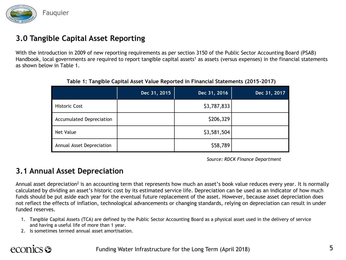

## **3.0 Tangible Capital Asset Reporting**

With the introduction in 2009 of new reporting requirements as per section 3150 of the Public Sector Accounting Board (PSAB) Handbook, local governments are required to report tangible capital assets<sup>1</sup> as assets (versus expenses) in the financial statements as shown below in Table 1.

|                                 | Dec 31, 2015 | Dec 31, 2016 | Dec 31, 2017 |
|---------------------------------|--------------|--------------|--------------|
| <b>Historic Cost</b>            |              | \$3,787,833  |              |
| <b>Accumulated Depreciation</b> |              | \$206,329    |              |
| Net Value                       |              | \$3,581,504  |              |
| Annual Asset Depreciation       |              | \$58,789     |              |

**Table 1: Tangible Capital Asset Value Reported in Financial Statements (2015-2017)**

*Source: RDCK Finance Department*

### **3.1 Annual Asset Depreciation**

Annual asset depreciation<sup>2</sup> is an accounting term that represents how much an asset's book value reduces every year. It is normally calculated by dividing an asset's historic cost by its estimated service life. Depreciation can be used as an indicator of how much funds should be put aside each year for the eventual future replacement of the asset. However, because asset depreciation does not reflect the effects of inflation, technological advancements or changing standards, relying on depreciation can result in under funded reserves.

- 1. Tangible Capital Assets (TCA) are defined by the Public Sector Accounting Board as a physical asset used in the delivery of service and having a useful life of more than 1 year.
- 2. Is sometimes termed annual asset amortisation.

# econics S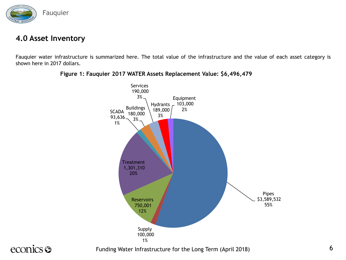

### **4.0 Asset Inventory**

Fauquier water infrastructure is summarized here. The total value of the infrastructure and the value of each asset category is shown here in 2017 dollars.



#### **Figure 1: Fauquier 2017 WATER Assets Replacement Value: \$6,496,479**

# econics <del>S</del>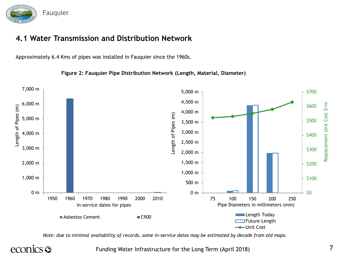

## **4.1 Water Transmission and Distribution Network**

Approximately 6.4 Kms of pipes was installed in Fauquier since the 1960s.

**Figure 2: Fauquier Pipe Distribution Network (Length, Material, Diameter)**



*Note: due to minimal availability of records, some in-service dates may be estimated by decade from old maps.* 

# econics s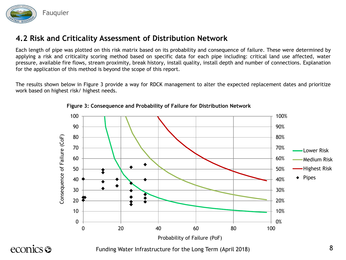

Each length of pipe was plotted on this risk matrix based on its probability and consequence of failure. These were determined by applying a risk and criticality scoring method based on specific data for each pipe including: critical land use affected, water pressure, available fire flows, stream proximity, break history, install quality, install depth and number of connections. Explanation for the application of this method is beyond the scope of this report.

The results shown below in Figure 3 provide a way for RDCK management to alter the expected replacement dates and prioritize work based on highest risk/ highest needs.



**Figure 3: Consequence and Probability of Failure for Distribution Network**

econics **S**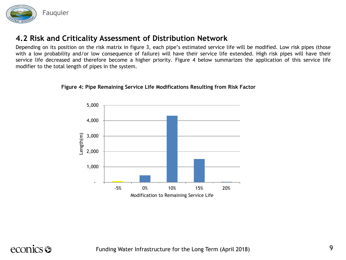

Depending on its position on the risk matrix in figure 3, each pipe's estimated service life will be modified. Low risk pipes (those with a low probability and/or low consequence of failure) will have their service life extended. High risk pipes will have their service life decreased and therefore become a higher priority. Figure 4 below summarizes the application of this service life modifier to the total length of pipes in the system.



#### **Figure 4: Pipe Remaining Service Life Modifications Resulting from Risk Factor**

# econics <del>S</del>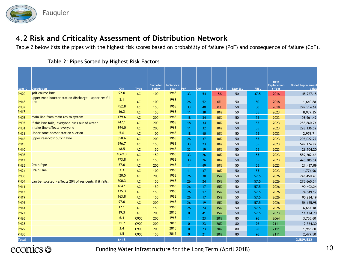

Table 2 below lists the pipes with the highest risk scores based on probability of failure (PoF) and consequence of failure (CoF).

| ltem ID     | <b>Description</b>                                           | Qty    | Type | <b>Diameter</b><br><b>Today</b> | In Service<br><b>Year</b> | PoF          | CoF | <b>RiskF</b> | <b>Base ESL</b> | <b>RBSL</b> | <b>Next</b><br>Replacemen<br>t Year | <b>Model Replacement</b><br>Value |
|-------------|--------------------------------------------------------------|--------|------|---------------------------------|---------------------------|--------------|-----|--------------|-----------------|-------------|-------------------------------------|-----------------------------------|
| <b>PN20</b> | golf course line                                             | 92.0   | AC   | 100                             | 1968                      | 33           | 54  | $-5%$        | 50              | 47.5        | 2016                                | 48,767.15                         |
| <b>PN18</b> | upper zone booster station discharge, upper res fill<br>line | 3.1    | AC   | 100                             | 1968                      | 26           | 52  | 0%           | 50              | 50          | 2018                                | 1,640.88                          |
| <b>PN07</b> |                                                              | 452.8  | AC   | 150                             | 1968                      | 33           | 40  | 0%           | 50              | 50          | 2018                                | 249,514.64                        |
| <b>PN17</b> |                                                              | 16.2   | AC   | 150                             | 1968                      | 11           | 38  | 10%          | 50              | 55          | 2023                                | 8,939.35                          |
| <b>PN02</b> | main line from main res to system                            | 179.6  | AC   | 200                             | 1968                      | 18           | 34  | 10%          | 50              | 55          | 2023                                | 103,961.49                        |
| <b>PN03</b> | if this line fails, everyone runs out of water.              | 447.1  | AC   | 200                             | 1968                      | 18           | 34  | 10%          | 50              | 55          | 2023                                | 258,860.74                        |
| <b>PN01</b> | Intake line-affects everyone                                 | 394.0  | AC   | 200                             | 1968                      | 11           | 32  | 10%          | 50              | 55          | 2023                                | 228,136.52                        |
| <b>PN21</b> | Upper zone booser station suction                            | 5.6    | AC   | 100                             | 1968                      | 18           | 40  | 10%          | 50              | 55          | 2023                                | 2,976.71                          |
| <b>PN16</b> | upper reservoir out/in line                                  | 350.6  | AC   | 200                             | 1968                      | 26           | 37  | 10%          | 50              | 55          | 2023                                | 203,022.27                        |
| <b>PN15</b> |                                                              | 996.7  | AC   | 150                             | 1968                      | 33           | 23  | 10%          | 50              | 55          | 2023                                | 549,174.92                        |
| <b>PN10</b> |                                                              | 48.5   | AC   | 150                             | 1968                      | 33           | 19  | 10%          | 50              | 55          | 2023                                | 26,704.20                         |
| <b>PN08</b> |                                                              | 1069.3 | AC   | 150                             | 1968                      | 33           | 26  | 10%          | 50              | 55          | 2023                                | 589,202.66                        |
| <b>PN12</b> |                                                              | 773.8  | AC   | 150                             | 1968                      | 33           | 26  | 10%          | 50              | 55          | 2023                                | 426,385.54                        |
| <b>PN25</b> | <b>Drain Pipe</b>                                            | 37.0   | AC   | 200                             | 1968                      | 11           | 49  | 10%          | 50              | 55          | 2023                                | 21,437.09                         |
| <b>PN24</b> | <b>Drain Line</b>                                            | 3.3    | AC   | 100                             | 1968                      | 11           | 47  | 10%          | 50              | 55          | 2023                                | 1,774.96                          |
| <b>PN06</b> |                                                              | 420.5  | AC   | 200                             | 1968                      | 26           | 30  | 15%          | 50              | 57.5        | 2026                                | 243,450.48                        |
| <b>PN04</b> | can be isolated - affects 20% of residents if it fails.      | 500.3  | AC   | 150                             | 1968                      | 26           | 24  | 15%          | 50              | 57.5        | 2026                                | 275,660.54                        |
| <b>PN11</b> |                                                              | 164.1  | AC   | 150                             | 1968                      | 26           | 17  | 15%          | 50              | 57.5        | 2026                                | 90,402.24                         |
| <b>PN13</b> |                                                              | 135.3  | AC   | 150                             | 1968                      | 26           | 17  | 15%          | 50              | 57.5        | 2026                                | 74,549.17                         |
| <b>PN19</b> |                                                              | 163.8  | AC   | 150                             | 1968                      | 26           | 17  | 15%          | 50              | 57.5        | 2026                                | 90,234.19                         |
| <b>PN05</b> |                                                              | 97.0   | AC   | 200                             | 1968                      | 26           | 19  | 15%          | 50              | 57.5        | 2026                                | 56,155.98                         |
| <b>PN14</b> |                                                              | 12.1   | AC   | 150                             | 1968                      | 26           | 24  | 15%          | 50              | 57.5        | 2026                                | 6,687.18                          |
| <b>PN27</b> |                                                              | 19.3   | AC   | 200                             | 2015                      | $\mathbf{0}$ | 41  | 15%          | 50              | 57.5        | 2073                                | 11,174.70                         |
| <b>PN26</b> |                                                              | 6.4    | C900 | 200                             | 1968                      |              | 23  | 20%          | 80              | 96          | 2064                                | 3,705.60                          |
| <b>PN28</b> |                                                              | 21.7   | C900 | 200                             | 2015                      | $\mathbf{0}$ | 23  | 20%          | 80              | 96          | 2111                                | 12,564.30                         |
| <b>PN29</b> |                                                              | 3.4    | C900 | 200                             | 2015                      | $\Omega$     | 23  | 20%          | 80              | 96          | 2111                                | 1,968.60                          |
| <b>PN30</b> |                                                              | 4.5    | C900 | 150                             | 2015                      | $\Omega$     | 21  | 20%          | 80              | 96          | 2111                                | 2,479.50                          |

#### **Table 2: Pipes Sorted by Highest Risk Factors**

econics <del>o</del>

Funding Water Infrastructure for the Long Term (April 2018)

**Total 6418 3,589,532**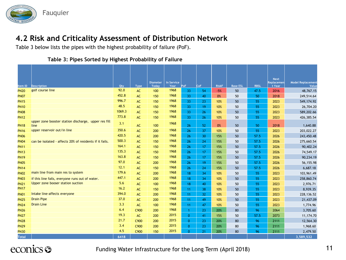

Table 3 below lists the pipes with the highest probability of failure (PoF).

|              |                                                              |        |               | <b>Diameter</b> | In Service |              |            |              |                 |             | <b>Next</b><br>Replacemen | <b>Model Replacement</b> |
|--------------|--------------------------------------------------------------|--------|---------------|-----------------|------------|--------------|------------|--------------|-----------------|-------------|---------------------------|--------------------------|
| Item ID      | <b>Description</b>                                           | Qty    | Type          | <b>Todav</b>    | Year       | PoF          | <b>CoF</b> | <b>RiskF</b> | <b>Base ESL</b> | <b>RBSL</b> | t Year                    | Value                    |
| <b>PN20</b>  | golf course line                                             | 92.0   | AC            | 100             | 1968       | 33           | 54         | $-5%$        | 50              | 47.5        | 2016                      | 48,767.15                |
| <b>PN07</b>  |                                                              | 452.8  | AC            | 150             | 1968       | 33           | 40         | 0%           | 50              | 50          | 2018                      | 249,514.64               |
| <b>PN15</b>  |                                                              | 996.7  | AC            | 150             | 1968       | 33           | 23         | 10%          | 50              | 55          | 2023                      | 549,174.92               |
| <b>PN10</b>  |                                                              | 48.5   | AC            | 150             | 1968       | 33           | 19         | 10%          | 50              | 55          | 2023                      | 26,704.20                |
| <b>PN08</b>  |                                                              | 1069.3 | AC            | 150             | 1968       | 33           | 26         | 10%          | 50              | 55          | 2023                      | 589,202.66               |
| <b>PN12</b>  |                                                              | 773.8  | AC            | 150             | 1968       | 33           | 26         | 10%          | 50              | 55          | 2023                      | 426,385.54               |
| <b>PN18</b>  | upper zone booster station discharge, upper res fill<br>line | 3.1    | $\mathsf{AC}$ | 100             | 1968       | 26           | 52         | 0%           | 50              | 50          | 2018                      | 1,640.88                 |
| <b>PN16</b>  | upper reservoir out/in line                                  | 350.6  | AC            | 200             | 1968       | 26           | 37         | 10%          | 50              | 55          | 2023                      | 203,022.27               |
| <b>PN06</b>  |                                                              | 420.5  | AC            | 200             | 1968       | 26           | 30         | 15%          | 50              | 57.5        | 2026                      | 243,450.48               |
| <b>PN04</b>  | can be isolated - affects 20% of residents if it fails.      | 500.3  | AC            | 150             | 1968       | 26           | 24         | 15%          | 50              | 57.5        | 2026                      | 275,660.54               |
| <b>PN11</b>  |                                                              | 164.1  | $AC$          | 150             | 1968       | 26           | 17         | 15%          | 50              | 57.5        | 2026                      | 90,402.24                |
| <b>PN13</b>  |                                                              | 135.3  | $\mathsf{AC}$ | 150             | 1968       | 26           | 17         | 15%          | 50              | 57.5        | 2026                      | 74,549.17                |
| <b>PN19</b>  |                                                              | 163.8  | $\mathsf{AC}$ | 150             | 1968       | 26           | 17         | 15%          | 50              | 57.5        | 2026                      | 90,234.19                |
| <b>PN05</b>  |                                                              | 97.0   | AC            | 200             | 1968       | 26           | 19         | 15%          | 50              | 57.5        | 2026                      | 56,155.98                |
| <b>PN14</b>  |                                                              | 12.1   | AC            | 150             | 1968       | 26           | 24         | 15%          | 50              | 57.5        | 2026                      | 6,687.18                 |
| <b>PN02</b>  | main line from main res to system                            | 179.6  | AC            | 200             | 1968       | 18           | 34         | 10%          | 50              | 55          | 2023                      | 103,961.49               |
| <b>PN03</b>  | if this line fails, everyone runs out of water.              | 447.1  | $\mathsf{AC}$ | 200             | 1968       | 18           | 34         | 10%          | 50              | 55          | 2023                      | 258,860.74               |
| <b>PN21</b>  | Upper zone booser station suction                            | 5.6    | AC            | 100             | 1968       | 18           | 40         | 10%          | 50              | 55          | 2023                      | 2,976.71                 |
| <b>PN17</b>  |                                                              | 16.2   | $\mathsf{AC}$ | 150             | 1968       | 11           | 38         | 10%          | 50              | 55          | 2023                      | 8,939.35                 |
| <b>PN01</b>  | Intake line-affects everyone                                 | 394.0  | AC            | 200             | 1968       | 11           | 32         | 10%          | 50              | 55          | 2023                      | 228, 136.52              |
| <b>PN25</b>  | <b>Drain Pipe</b>                                            | 37.0   | AC            | 200             | 1968       | 11           | 49         | 10%          | 50              | 55          | 2023                      | 21,437.09                |
| <b>PN24</b>  | <b>Drain Line</b>                                            | 3.3    | AC            | 100             | 1968       | 11           | 47         | 10%          | 50              | 55          | 2023                      | 1,774.96                 |
| <b>PN26</b>  |                                                              | 6.4    | C900          | 200             | 1968       | 1            | 23         | 20%          | 80              | 96          | 2064                      | 3,705.60                 |
| <b>PN27</b>  |                                                              | 19.3   | AC            | 200             | 2015       | $\mathbf{0}$ | 41         | 15%          | 50              | 57.5        | 2073                      | 11,174.70                |
| <b>PN28</b>  |                                                              | 21.7   | C900          | 200             | 2015       | $\mathbf{0}$ | 23         | 20%          | 80              | 96          | 2111                      | 12,564.30                |
| <b>PN29</b>  |                                                              | 3.4    | C900          | 200             | 2015       | $\mathbf{0}$ | 23         | 20%          | 80              | 96          | 2111                      | 1,968.60                 |
| <b>PN30</b>  |                                                              | 4.5    | C900          | 150             | 2015       | $\mathbf{0}$ | 21         | 20%          | 80              | 96          | 2111                      | 2,479.50                 |
| <b>Total</b> |                                                              | 6418   |               |                 |            |              |            |              |                 |             |                           | 3,589,532                |

#### **Table 3: Pipes Sorted by Highest Probability of Failure**

# econics <del>o</del>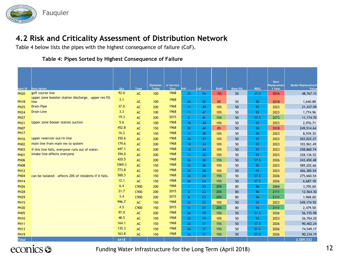

Table 4 below lists the pipes with the highest consequence of failure (CoF).

#### **Table 4: Pipes Sorted by Highest Consequence of Failure**

|                        |                                                              |             |                   | <b>Diameter</b>     | In Service   | PoF                  | CoF | <b>RiskF</b> |                       | <b>RBSL</b> | <b>Next</b><br>Replacemen | <b>Model Replacement</b> |
|------------------------|--------------------------------------------------------------|-------------|-------------------|---------------------|--------------|----------------------|-----|--------------|-----------------------|-------------|---------------------------|--------------------------|
| Item ID<br><b>PN20</b> | <b>Description</b><br>golf course line                       | Qty<br>92.0 | <b>Type</b><br>AC | <b>Todav</b><br>100 | Year<br>1968 | 33                   | 54  | $-5%$        | <b>Base ESL</b><br>50 | 47.5        | t Year<br>2016            | Value<br>48,767.15       |
| <b>PN18</b>            | upper zone booster station discharge, upper res fill<br>line | 3.1         | AC                | 100                 | 1968         | 26                   | 52  | 0%           | 50                    | 50          | 2018                      | 1,640.88                 |
| <b>PN25</b>            | <b>Drain Pipe</b>                                            | 37.0        | AC                | 200                 | 1968         | 11                   | 49  | 10%          | 50                    | 55          | 2023                      | 21,437.09                |
| <b>PN24</b>            | <b>Drain Line</b>                                            | 3.3         | AC                | 100                 | 1968         | 11                   | 47  | 10%          | 50                    | 55          | 2023                      | 1,774.96                 |
| <b>PN27</b>            |                                                              | 19.3        | AC                | 200                 | 2015         | $\mathbf{0}$         | 41  | 15%          | 50                    | 57.5        | 2073                      | 11,174.70                |
| <b>PN21</b>            | Upper zone booser station suction                            | 5.6         | $\mathsf{AC}$     | 100                 | 1968         | 18                   | 40  | 10%          | 50                    | 55          | 2023                      | 2,976.71                 |
| <b>PN07</b>            |                                                              | 452.8       | AC                | 150                 | 1968         | 33                   | 40  | 0%           | 50                    | 50          | 2018                      | 249,514.64               |
| <b>PN17</b>            |                                                              | 16.2        | AC                | 150                 | 1968         | 11                   | 38  | 10%          | 50                    | 55          | 2023                      | 8,939.35                 |
| <b>PN16</b>            | upper reservoir out/in line                                  | 350.6       | AC                | 200                 | 1968         | 26                   | 37  | 10%          | 50                    | 55          | 2023                      | 203,022.27               |
| <b>PN02</b>            | main line from main res to system                            | 179.6       | AC                | 200                 | 1968         | 18                   | 34  | 10%          | 50                    | 55          | 2023                      | 103,961.49               |
| <b>PN03</b>            | if this line fails, everyone runs out of water.              | 447.1       | AC                | 200                 | 1968         | 18                   | 34  | 10%          | 50                    | 55          | 2023                      | 258,860.74               |
| <b>PN01</b>            | Intake line-affects everyone                                 | 394.0       | AC                | 200                 | 1968         | 11                   | 32  | 10%          | 50                    | 55          | 2023                      | 228, 136.52              |
| <b>PN06</b>            |                                                              | 420.5       | $\mathsf{AC}$     | 200                 | 1968         | 26                   | 30  | 15%          | 50                    | 57.5        | 2026                      | 243,450.48               |
| <b>PN08</b>            |                                                              | 1069.3      | $\mathsf{AC}$     | 150                 | 1968         | 33                   | 26  | 10%          | 50                    | 55          | 2023                      | 589,202.66               |
| <b>PN12</b>            |                                                              | 773.8       | $\mathsf{AC}$     | 150                 | 1968         | 33                   | 26  | 10%          | 50                    | 55          | 2023                      | 426,385.54               |
| <b>PN04</b>            | can be isolated - affects 20% of residents if it fails.      | 500.3       | AC                | 150                 | 1968         | 26                   | 24  | 15%          | 50                    | 57.5        | 2026                      | 275,660.54               |
| <b>PN14</b>            |                                                              | 12.1        | AC                | 150                 | 1968         | 26                   | 24  | 15%          | 50                    | 57.5        | 2026                      | 6,687.18                 |
| <b>PN26</b>            |                                                              | 6.4         | C900              | 200                 | 1968         | $\blacktriangleleft$ | 23  | 20%          | 80                    | 96          | 2064                      | 3,705.60                 |
| <b>PN28</b>            |                                                              | 21.7        | C900              | 200                 | 2015         | $\mathbf{0}$         | 23  | 20%          | 80                    | 96          | 2111                      | 12,564.30                |
| <b>PN29</b>            |                                                              | 3.4         | C900              | 200                 | 2015         | $\mathbf{0}$         | 23  | 20%          | 80                    | 96          | 2111                      | 1,968.60                 |
| <b>PN15</b>            |                                                              | 996.7       | AC                | 150                 | 1968         | 33                   | 23  | 10%          | 50                    | 55          | 2023                      | 549,174.92               |
| <b>PN30</b>            |                                                              | 4.5         | C900              | 150                 | 2015         | $\mathbf{0}$         | 21  | 20%          | 80                    | 96          | 2111                      | 2,479.50                 |
| <b>PN05</b>            |                                                              | 97.0        | AC                | 200                 | 1968         | 26                   | 19  | 15%          | 50                    | 57.5        | 2026                      | 56,155.98                |
| <b>PN10</b>            |                                                              | 48.5        | AC                | 150                 | 1968         | 33                   | 19  | 10%          | 50                    | 55          | 2023                      | 26,704.20                |
| <b>PN11</b>            |                                                              | 164.1       | AC                | 150                 | 1968         | 26                   | 17  | 15%          | 50                    | 57.5        | 2026                      | 90,402.24                |
| <b>PN13</b>            |                                                              | 135.3       | $\mathsf{AC}$     | 150                 | 1968         | 26                   | 17  | 15%          | 50                    | 57.5        | 2026                      | 74,549.17                |
| <b>PN19</b>            |                                                              | 163.8       | AC                | 150                 | 1968         | 26                   | 17  | 15%          | 50                    | 57.5        | 2026                      | 90,234.19                |
| <b>Total</b>           |                                                              | 6418        |                   |                     |              |                      |     |              |                       |             |                           | 3,589,532                |

econics <del>S</del>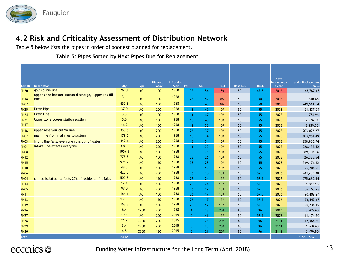

Table 5 below lists the pipes in order of soonest planned for replacement.

#### **Table 5: Pipes Sorted by Next Pipes Due for Replacement**

|              |                                                              |        |             | <b>Diameter</b> | In Service |                 |     |              |                 |             | <b>Next</b><br><b>Replacemen</b> | <b>Model Replacement</b> |
|--------------|--------------------------------------------------------------|--------|-------------|-----------------|------------|-----------------|-----|--------------|-----------------|-------------|----------------------------------|--------------------------|
| Item ID      | <b>Description</b>                                           | Qty    | <b>Type</b> | <b>Todav</b>    | Year       | <b>PoF</b>      | CoF | <b>RiskF</b> | <b>Base ESL</b> | <b>RBSL</b> | t Year                           | Value                    |
| <b>PN20</b>  | golf course line                                             | 92.0   | AC          | 100             | 1968       | 33              | 54  | $-5%$        | 50              | 47.5        | 2016                             | 48,767.15                |
| <b>PN18</b>  | upper zone booster station discharge, upper res fill<br>line | 3.1    | AC          | 100             | 1968       | 26              | 52  | 0%           | 50              | 50          | 2018                             | 1,640.88                 |
| <b>PN07</b>  |                                                              | 452.8  | AC          | 150             | 1968       | 33              | 40  | 0%           | 50              | 50          | 2018                             | 249,514.64               |
| <b>PN25</b>  | <b>Drain Pipe</b>                                            | 37.0   | AC          | 200             | 1968       | 11              | 49  | 10%          | 50              | 55          | 2023                             | 21,437.09                |
| <b>PN24</b>  | <b>Drain Line</b>                                            | 3.3    | AC          | 100             | 1968       | 11 <sub>1</sub> | 47  | 10%          | 50              | 55          | 2023                             | 1,774.96                 |
| <b>PN21</b>  | Upper zone booser station suction                            | 5.6    | AC          | 100             | 1968       | 18              | 40  | 10%          | 50              | 55          | 2023                             | 2,976.71                 |
| <b>PN17</b>  |                                                              | 16.2   | AC          | 150             | 1968       | 11 <sub>1</sub> | 38  | 10%          | 50              | 55          | 2023                             | 8,939.35                 |
| <b>PN16</b>  | upper reservoir out/in line                                  | 350.6  | AC          | 200             | 1968       | 26              | 37  | 10%          | 50              | 55          | 2023                             | 203,022.27               |
| <b>PN02</b>  | main line from main res to system                            | 179.6  | AC          | 200             | 1968       | 18              | 34  | 10%          | 50              | 55          | 2023                             | 103,961.49               |
| <b>PN03</b>  | if this line fails, everyone runs out of water.              | 447.1  | AC          | 200             | 1968       | 18              | 34  | 10%          | 50              | 55          | 2023                             | 258,860.74               |
| <b>PN01</b>  | Intake line-affects everyone                                 | 394.0  | AC          | 200             | 1968       | 11 <sub>1</sub> | 32  | 10%          | 50              | 55          | 2023                             | 228,136.52               |
| <b>PN08</b>  |                                                              | 1069.3 | AC          | 150             | 1968       | 33              | 26  | 10%          | 50              | 55          | 2023                             | 589,202.66               |
| <b>PN12</b>  |                                                              | 773.8  | AC          | 150             | 1968       | 33              | 26  | 10%          | 50              | 55          | 2023                             | 426,385.54               |
| <b>PN15</b>  |                                                              | 996.7  | AC          | 150             | 1968       | 33              | 23  | 10%          | 50              | 55          | 2023                             | 549,174.92               |
| <b>PN10</b>  |                                                              | 48.5   | AC          | 150             | 1968       | 33              | 19  | 10%          | 50              | 55          | 2023                             | 26,704.20                |
| <b>PN06</b>  |                                                              | 420.5  | AC          | 200             | 1968       | 26              | 30  | 15%          | 50              | 57.5        | 2026                             | 243,450.48               |
| <b>PN04</b>  | can be isolated - affects 20% of residents if it fails.      | 500.3  | AC          | 150             | 1968       | 26              | 24  | 15%          | 50              | 57.5        | 2026                             | 275,660.54               |
| <b>PN14</b>  |                                                              | 12.1   | AC          | 150             | 1968       | 26              | 24  | 15%          | 50              | 57.5        | 2026                             | 6,687.18                 |
| <b>PN05</b>  |                                                              | 97.0   | AC          | 200             | 1968       | 26              | 19  | 15%          | 50              | 57.5        | 2026                             | 56,155.98                |
| <b>PN11</b>  |                                                              | 164.1  | AC          | 150             | 1968       | 26              | 17  | 15%          | 50              | 57.5        | 2026                             | 90,402.24                |
| <b>PN13</b>  |                                                              | 135.3  | AC          | 150             | 1968       | 26              | 17  | 15%          | 50              | 57.5        | 2026                             | 74,549.17                |
| <b>PN19</b>  |                                                              | 163.8  | AC          | 150             | 1968       | 26              | 17  | 15%          | 50              | 57.5        | 2026                             | 90,234.19                |
| <b>PN26</b>  |                                                              | 6.4    | C900        | 200             | 1968       | 1               | 23  | 20%          | 80              | 96          | 2064                             | 3,705.60                 |
| <b>PN27</b>  |                                                              | 19.3   | AC          | 200             | 2015       | $\mathbf{0}$    | 41  | 15%          | 50              | 57.5        | 2073                             | 11,174.70                |
| <b>PN28</b>  |                                                              | 21.7   | C900        | 200             | 2015       | $\overline{0}$  | 23  | 20%          | 80              | 96          | 2111                             | 12,564.30                |
| <b>PN29</b>  |                                                              | 3.4    | C900        | 200             | 2015       | $\mathbf{0}$    | 23  | 20%          | 80              | 96          | 2111                             | 1,968.60                 |
| <b>PN30</b>  |                                                              | 4.5    | C900        | 150             | 2015       | $\Omega$        | 21  | 20%          | 80              | 96          | 2111                             | 2,479.50                 |
| <b>Total</b> |                                                              | 6418   |             |                 |            |                 |     |              |                 |             |                                  | 3,589,532                |

# econics <del>S</del>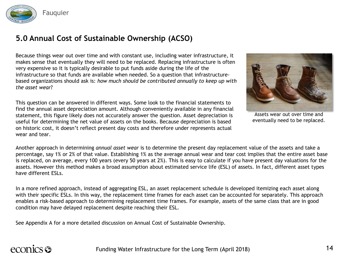

## **5.0 Annual Cost of Sustainable Ownership (ACSO)**

Because things wear out over time and with constant use, including water infrastructure, it makes sense that eventually they will need to be replaced. Replacing infrastructure is often very expensive so it is typically desirable to put funds aside during the life of the infrastructure so that funds are available when needed. So a question that infrastructurebased organizations should ask is: *how much should be contributed annually to keep up with the asset wear*?

This question can be answered in different ways. Some look to the financial statements to find the annual asset depreciation amount. Although conveniently available in any financial statement, this figure likely does not accurately answer the question. Asset depreciation is useful for determining the net value of assets on the books. Because depreciation is based on historic cost, it doesn't reflect present day costs and therefore under represents actual wear and tear.



Assets wear out over time and eventually need to be replaced.

Another approach in determining *annual asset wear* is to determine the present day replacement value of the assets and take a percentage, say 1% or 2% of that value. Establishing 1% as the average annual wear and tear cost implies that the entire asset base is replaced, on average, every 100 years (every 50 years at 2%). This is easy to calculate if you have present day valuations for the assets. However this method makes a broad assumption about estimated service life (ESL) of assets. In fact, different asset types have different ESLs.

In a more refined approach, instead of aggregating ESL, an asset replacement schedule is developed itemizing each asset along with their specific ESLs. In this way, the replacement time frames for each asset can be accounted for separately. This approach enables a risk-based approach to determining replacement time frames. For example, assets of the same class that are in good condition may have delayed replacement despite reaching their ESL.

See Appendix A for a more detailed discussion on Annual Cost of Sustainable Ownership.

# econics **S**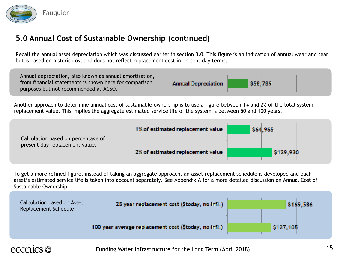

## **5.0 Annual Cost of Sustainable Ownership (continued)**

Recall the annual asset depreciation which was discussed earlier in section 3.0. This figure is an indication of annual wear and tear but is based on historic cost and does not reflect replacement cost in present day terms.



Another approach to determine annual cost of sustainable ownership is to use a figure between 1% and 2% of the total system replacement value. This implies the aggregate estimated service life of the system is between 50 and 100 years.

|                                                                      | 1% of estimated replacement value | \$64,965  |
|----------------------------------------------------------------------|-----------------------------------|-----------|
| Calculation based on percentage of<br>present day replacement value. |                                   |           |
|                                                                      | 2% of estimated replacement value | \$129,930 |

To get a more refined figure, instead of taking an aggregate approach, an asset replacement schedule is developed and each asset's estimated service life is taken into account separately. See Appendix A for a more detailed discussion on Annual Cost of Sustainable Ownership.

| Calculation based on Asset<br>Replacement Schedule | 25 year replacement cost (\$today, no infl.)          | \$169,586 |
|----------------------------------------------------|-------------------------------------------------------|-----------|
|                                                    | 100 year average replacement cost (\$today, no infl.) | \$127,105 |

# econics **es**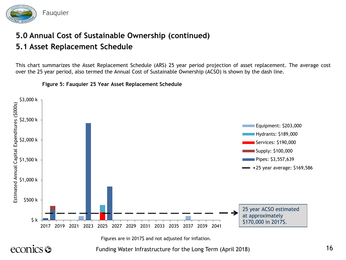

# **5.0 Annual Cost of Sustainable Ownership (continued)**

## **5.1 Asset Replacement Schedule**

This chart summarizes the Asset Replacement Schedule (ARS) 25 year period projection of asset replacement. The average cost over the 25 year period, also termed the Annual Cost of Sustainable Ownership (ACSO) is shown by the dash line.



**Figure 5: Fauquier 25 Year Asset Replacement Schedule**

econics **S** 

Figures are in 2017\$ and not adjusted for inflation.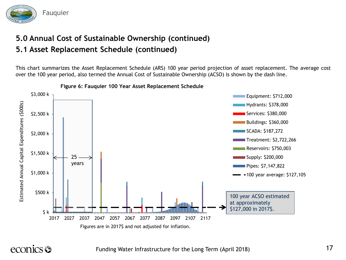

## **5.0 Annual Cost of Sustainable Ownership (continued) 5.1 Asset Replacement Schedule (continued)**

This chart summarizes the Asset Replacement Schedule (ARS) 100 year period projection of asset replacement. The average cost over the 100 year period, also termed the Annual Cost of Sustainable Ownership (ACSO) is shown by the dash line.



**Figure 6: Fauquier 100 Year Asset Replacement Schedule**

# econics **S**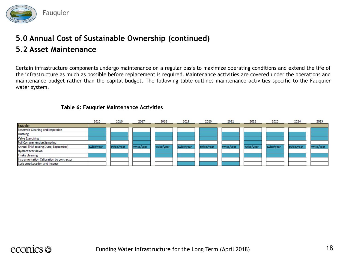

# **5.0 Annual Cost of Sustainable Ownership (continued)**

## **5.2 Asset Maintenance**

Certain infrastructure components undergo maintenance on a regular basis to maximize operating conditions and extend the life of the infrastructure as much as possible before replacement is required. Maintenance activities are covered under the operations and maintenance budget rather than the capital budget. The following table outlines maintenance activities specific to the Fauquier water system.

#### **Table 6: Fauquier Maintenance Activities**

|                                           | 2015       | 2016       | 2017       | 2018       | 2019       | 2020       | 2021       | 2022       | 2023       | 2024       | 2025       |
|-------------------------------------------|------------|------------|------------|------------|------------|------------|------------|------------|------------|------------|------------|
| <b>Fauquier</b>                           |            |            |            |            |            |            |            |            |            |            |            |
| <b>Reservoir Cleaning and Inspection</b>  |            |            |            |            |            |            |            |            |            |            |            |
| <b>Flushing</b>                           |            |            |            |            |            |            |            |            |            |            |            |
| <b>Valve Exercising</b>                   |            |            |            |            |            |            |            |            |            |            |            |
| <b>Full Comprehensive Sampling</b>        |            |            |            |            |            |            |            |            |            |            |            |
| Annual THM testing (June, September)      | twice/year | twice/year | twice/year | twice/year | twice/year | twice/year | twice/year | twice/year | twice/year | twice/year | twice/year |
| <b>Hydrant tear down</b>                  |            |            |            |            |            |            |            |            |            |            |            |
| Intake cleaning                           |            |            |            |            |            |            |            |            |            |            |            |
| Instrumentation Calibration by contractor |            |            |            |            |            |            |            |            |            |            |            |
| Curb stop Location and Inspect            |            |            |            |            |            |            |            |            |            |            |            |

# econics **S**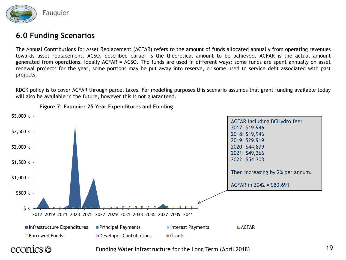

### **6.0 Funding Scenarios**

The Annual Contributions for Asset Replacement (ACFAR) refers to the amount of funds allocated annually from operating revenues towards asset replacement. ACSO, described earlier is the theoretical amount to be achieved. ACFAR is the actual amount generated from operations. Ideally ACFAR = ACSO. The funds are used in different ways: some funds are spent annually on asset renewal projects for the year, some portions may be put away into reserve, or some used to service debt associated with past projects.

RDCK policy is to cover ACFAR through parcel taxes. For modeling purposes this scenario assumes that grant funding available today will also be available in the future, however this is not guaranteed.



**Figure 7: Fauquier 25 Year Expenditures and Funding**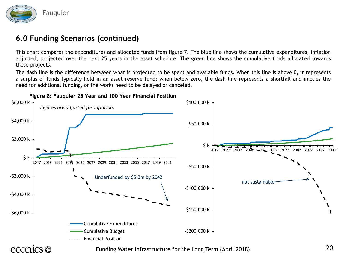

## **6.0 Funding Scenarios (continued)**

This chart compares the expenditures and allocated funds from figure 7. The blue line shows the cumulative expenditures, inflation adjusted, projected over the next 25 years in the asset schedule. The green line shows the cumulative funds allocated towards these projects.

The dash line is the difference between what is projected to be spent and available funds. When this line is above 0, it represents a surplus of funds typically held in an asset reserve fund; when below zero, the dash line represents a shortfall and implies the need for additional funding, or the works need to be delayed or canceled.

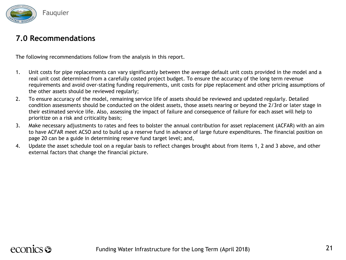

### **7.0 Recommendations**

The following recommendations follow from the analysis in this report.

- 1. Unit costs for pipe replacements can vary significantly between the average default unit costs provided in the model and a real unit cost determined from a carefully costed project budget. To ensure the accuracy of the long term revenue requirements and avoid over-stating funding requirements, unit costs for pipe replacement and other pricing assumptions of the other assets should be reviewed regularly;
- 2. To ensure accuracy of the model, remaining service life of assets should be reviewed and updated regularly. Detailed condition assessments should be conducted on the oldest assets, those assets nearing or beyond the 2/3rd or later stage in their estimated service life. Also, assessing the impact of failure and consequence of failure for each asset will help to prioritize on a risk and criticality basis;
- 3. Make necessary adjustments to rates and fees to bolster the annual contribution for asset replacement (ACFAR) with an aim to have ACFAR meet ACSO and to build up a reserve fund in advance of large future expenditures. The financial position on page 20 can be a guide in determining reserve fund target level; and,
- 4. Update the asset schedule tool on a regular basis to reflect changes brought about from items 1, 2 and 3 above, and other external factors that change the financial picture.

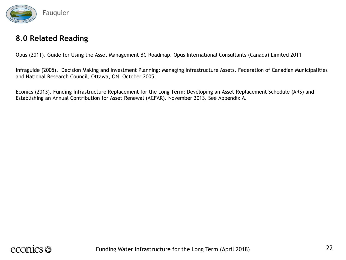

### **8.0 Related Reading**

Opus (2011). Guide for Using the Asset Management BC Roadmap. Opus International Consultants (Canada) Limited 2011

Infraguide (2005). Decision Making and Investment Planning: Managing Infrastructure Assets. Federation of Canadian Municipalities and National Research Council, Ottawa, ON, October 2005.

Econics (2013). Funding Infrastructure Replacement for the Long Term: Developing an Asset Replacement Schedule (ARS) and Establishing an Annual Contribution for Asset Renewal (ACFAR). November 2013. See Appendix A.

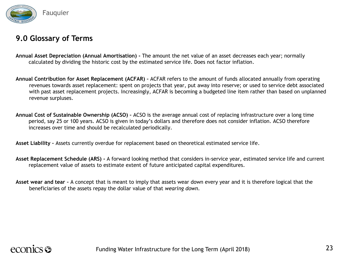

## **9.0 Glossary of Terms**

- **Annual Asset Depreciation (Annual Amortisation) -** The amount the net value of an asset decreases each year; normally calculated by dividing the historic cost by the estimated service life. Does not factor inflation.
- **Annual Contribution for Asset Replacement (ACFAR) –** ACFAR refers to the amount of funds allocated annually from operating revenues towards asset replacement: spent on projects that year, put away into reserve; or used to service debt associated with past asset replacement projects. Increasingly, ACFAR is becoming a budgeted line item rather than based on unplanned revenue surpluses.
- **Annual Cost of Sustainable Ownership (ACSO) –** ACSO is the average annual cost of replacing infrastructure over a long time period, say 25 or 100 years. ACSO is given in today's dollars and therefore does not consider inflation. ACSO therefore increases over time and should be recalculated periodically.

**Asset Liability –** Assets currently overdue for replacement based on theoretical estimated service life.

- **Asset Replacement Schedule (ARS) -** A forward looking method that considers in-service year, estimated service life and current replacement value of assets to estimate extent of future anticipated capital expenditures.
- **Asset wear and tear –** A concept that is meant to imply that assets wear down every year and it is therefore logical that the beneficiaries of the assets repay the dollar value of that *wearing down*.